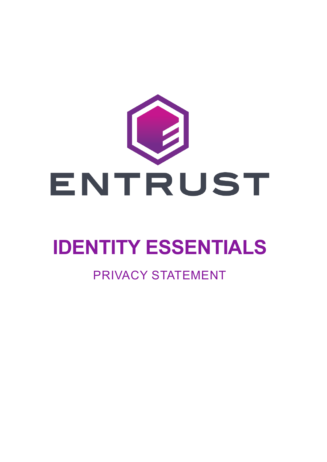

# **IDENTITY ESSENTIALS**

### PRIVACY STATEMENT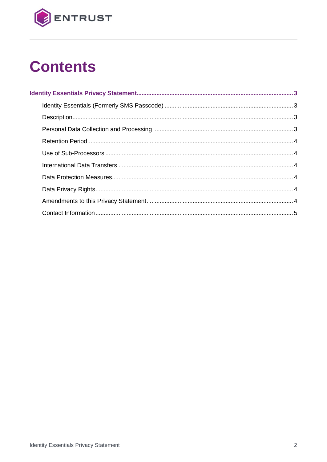

## **Contents**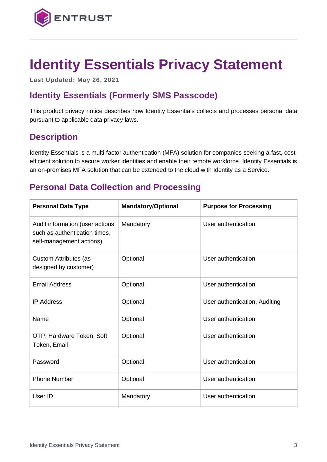

### <span id="page-2-0"></span>**Identity Essentials Privacy Statement**

**Last Updated: May 26, 2021**

#### <span id="page-2-1"></span>**Identity Essentials (Formerly SMS Passcode)**

This product privacy notice describes how Identity Essentials collects and processes personal data pursuant to applicable data privacy laws.

#### <span id="page-2-2"></span>**Description**

Identity Essentials is a multi-factor authentication (MFA) solution for companies seeking a fast, costefficient solution to secure worker identities and enable their remote workforce. Identity Essentials is an on-premises MFA solution that can be extended to the cloud with Identity as a Service.

#### <span id="page-2-3"></span>**Personal Data Collection and Processing**

| <b>Personal Data Type</b>                                                                    | <b>Mandatory/Optional</b> | <b>Purpose for Processing</b> |
|----------------------------------------------------------------------------------------------|---------------------------|-------------------------------|
| Audit information (user actions<br>such as authentication times,<br>self-management actions) | Mandatory                 | User authentication           |
| Custom Attributes (as<br>designed by customer)                                               | Optional                  | User authentication           |
| <b>Email Address</b>                                                                         | Optional                  | User authentication           |
| <b>IP Address</b>                                                                            | Optional                  | User authentication, Auditing |
| Name                                                                                         | Optional                  | User authentication           |
| OTP, Hardware Token, Soft<br>Token, Email                                                    | Optional                  | User authentication           |
| Password                                                                                     | Optional                  | User authentication           |
| <b>Phone Number</b>                                                                          | Optional                  | User authentication           |
| User ID                                                                                      | Mandatory                 | User authentication           |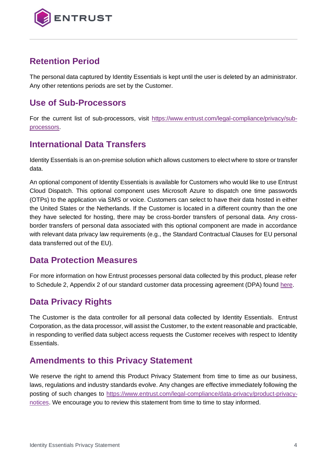

#### <span id="page-3-0"></span>**Retention Period**

The personal data captured by Identity Essentials is kept until the user is deleted by an administrator. Any other retentions periods are set by the Customer.

#### <span id="page-3-1"></span>**Use of Sub-Processors**

For the current list of sub-processors, visit [https://www.entrust.com/legal-compliance/privacy/sub](https://www.entrust.com/legal-compliance/privacy/sub-processors)[processors.](https://www.entrust.com/legal-compliance/privacy/sub-processors)

#### <span id="page-3-2"></span>**International Data Transfers**

Identity Essentials is an on-premise solution which allows customers to elect where to store or transfer data.

An optional component of Identity Essentials is available for Customers who would like to use Entrust Cloud Dispatch. This optional component uses Microsoft Azure to dispatch one time passwords (OTPs) to the application via SMS or voice. Customers can select to have their data hosted in either the United States or the Netherlands. If the Customer is located in a different country than the one they have selected for hosting, there may be cross-border transfers of personal data. Any crossborder transfers of personal data associated with this optional component are made in accordance with relevant data privacy law requirements (e.g., the Standard Contractual Clauses for EU personal data transferred out of the EU).

#### <span id="page-3-3"></span>**Data Protection Measures**

For more information on how Entrust processes personal data collected by this product, please refer to Schedule 2, Appendix 2 of our standard customer data processing agreement (DPA) found [here.](https://www.entrust.com/-/media/documentation/licensingandagreements/dpa---entrust-acting-as-processor.pdf)

#### <span id="page-3-4"></span>**Data Privacy Rights**

The Customer is the data controller for all personal data collected by Identity Essentials. Entrust Corporation, as the data processor, will assist the Customer, to the extent reasonable and practicable, in responding to verified data subject access requests the Customer receives with respect to Identity Essentials.

#### <span id="page-3-5"></span>**Amendments to this Privacy Statement**

We reserve the right to amend this Product Privacy Statement from time to time as our business, laws, regulations and industry standards evolve. Any changes are effective immediately following the posting of such changes to [https://www.entrust.com/legal-compliance/data-privacy/product-privacy](https://www.entrust.com/legal-compliance/data-privacy/product-privacy-notices)[notices.](https://www.entrust.com/legal-compliance/data-privacy/product-privacy-notices) We encourage you to review this statement from time to time to stay informed.